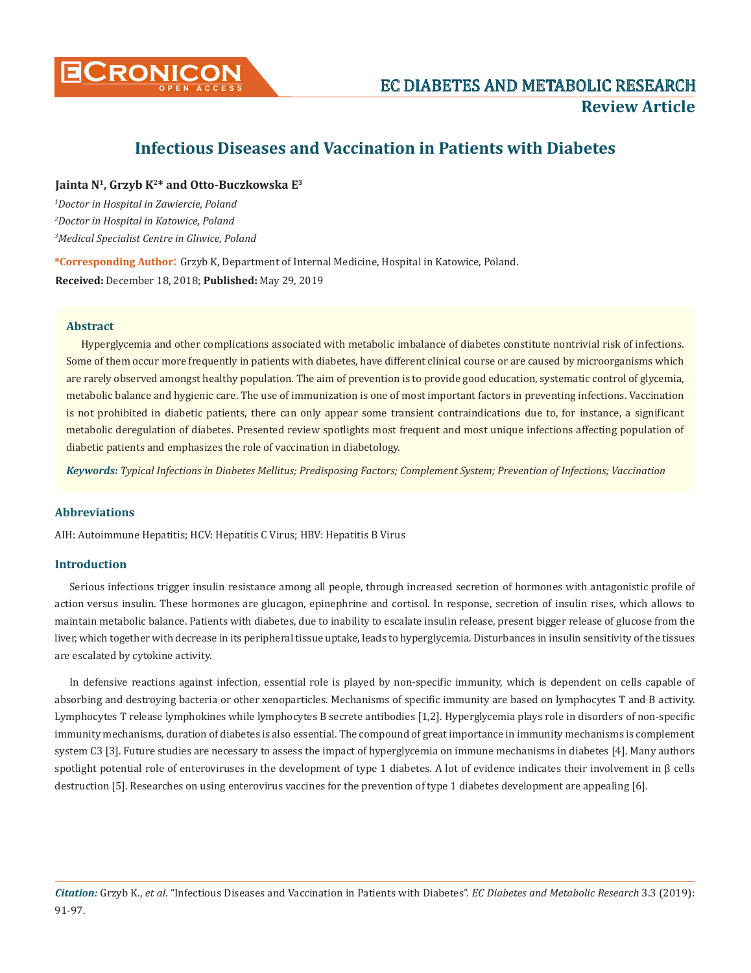

# **Infectious Diseases and Vaccination in Patients with Diabetes**

**Jainta N1, Grzyb K2\* and Otto-Buczkowska E3**

*1 Doctor in Hospital in Zawiercie, Poland 2 Doctor in Hospital in Katowice, Poland 3 Medical Specialist Centre in Gliwice, Poland* 

**\*Corresponding Author**: Grzyb K, Department of Internal Medicine, Hospital in Katowice, Poland. **Received:** December 18, 2018; **Published:** May 29, 2019

## **Abstract**

Hyperglycemia and other complications associated with metabolic imbalance of diabetes constitute nontrivial risk of infections. Some of them occur more frequently in patients with diabetes, have different clinical course or are caused by microorganisms which are rarely observed amongst healthy population. The aim of prevention is to provide good education, systematic control of glycemia, metabolic balance and hygienic care. The use of immunization is one of most important factors in preventing infections. Vaccination is not prohibited in diabetic patients, there can only appear some transient contraindications due to, for instance, a significant metabolic deregulation of diabetes. Presented review spotlights most frequent and most unique infections affecting population of diabetic patients and emphasizes the role of vaccination in diabetology.

*Keywords: Typical Infections in Diabetes Mellitus; Predisposing Factors; Complement System; Prevention of Infections; Vaccination*

## **Abbreviations**

AIH: Autoimmune Hepatitis; HCV: Hepatitis C Virus; HBV: Hepatitis B Virus

## **Introduction**

Serious infections trigger insulin resistance among all people, through increased secretion of hormones with antagonistic profile of action versus insulin. These hormones are glucagon, epinephrine and cortisol. In response, secretion of insulin rises, which allows to maintain metabolic balance. Patients with diabetes, due to inability to escalate insulin release, present bigger release of glucose from the liver, which together with decrease in its peripheral tissue uptake, leads to hyperglycemia. Disturbances in insulin sensitivity of the tissues are escalated by cytokine activity.

In defensive reactions against infection, essential role is played by non-specific immunity, which is dependent on cells capable of absorbing and destroying bacteria or other xenoparticles. Mechanisms of specific immunity are based on lymphocytes T and B activity. Lymphocytes T release lymphokines while lymphocytes B secrete antibodies [1,2]. Hyperglycemia plays role in disorders of non-specific immunity mechanisms, duration of diabetes is also essential. The compound of great importance in immunity mechanisms is complement system C3 [3]. Future studies are necessary to assess the impact of hyperglycemia on immune mechanisms in diabetes [4]. Many authors spotlight potential role of enteroviruses in the development of type 1 diabetes. A lot of evidence indicates their involvement in  $\beta$  cells destruction [5]. Researches on using enterovirus vaccines for the prevention of type 1 diabetes development are appealing [6].

*Citation:* Grzyb K., *et al*. "Infectious Diseases and Vaccination in Patients with Diabetes". *EC Diabetes and Metabolic Research* 3.3 (2019): 91-97.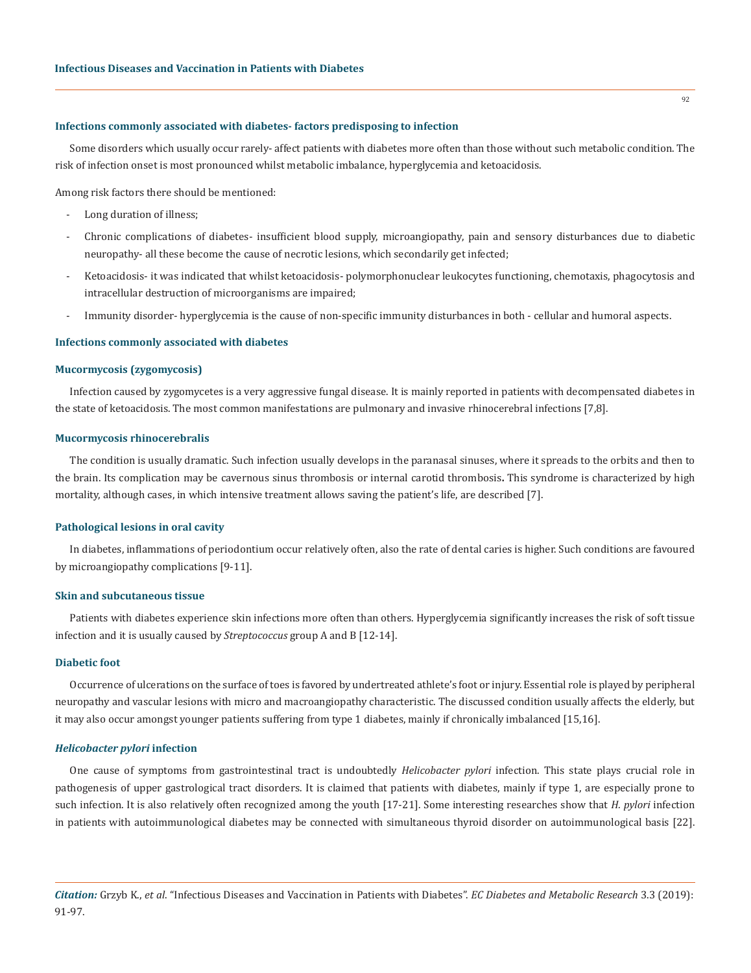## **Infections commonly associated with diabetes- factors predisposing to infection**

Some disorders which usually occur rarely- affect patients with diabetes more often than those without such metabolic condition. The risk of infection onset is most pronounced whilst metabolic imbalance, hyperglycemia and ketoacidosis.

Among risk factors there should be mentioned:

- Long duration of illness;
- Chronic complications of diabetes- insufficient blood supply, microangiopathy, pain and sensory disturbances due to diabetic neuropathy- all these become the cause of necrotic lesions, which secondarily get infected;
- Ketoacidosis- it was indicated that whilst ketoacidosis- polymorphonuclear leukocytes functioning, chemotaxis, phagocytosis and intracellular destruction of microorganisms are impaired;
- Immunity disorder- hyperglycemia is the cause of non-specific immunity disturbances in both cellular and humoral aspects.

## **Infections commonly associated with diabetes**

#### **Mucormycosis (zygomycosis)**

Infection caused by zygomycetes is a very aggressive fungal disease. It is mainly reported in patients with decompensated diabetes in the state of ketoacidosis. The most common manifestations are pulmonary and invasive rhinocerebral infections [7,8].

### **Mucormycosis rhinocerebralis**

The condition is usually dramatic. Such infection usually develops in the paranasal sinuses, where it spreads to the orbits and then to the brain. Its complication may be cavernous sinus thrombosis or internal carotid thrombosis**.** This syndrome is characterized by high mortality, although cases, in which intensive treatment allows saving the patient's life, are described [7].

#### **Pathological lesions in oral cavity**

In diabetes, inflammations of periodontium occur relatively often, also the rate of dental caries is higher. Such conditions are favoured by microangiopathy complications [9-11].

#### **Skin and subcutaneous tissue**

Patients with diabetes experience skin infections more often than others. Hyperglycemia significantly increases the risk of soft tissue infection and it is usually caused by *Streptococcus* group A and B [12-14].

#### **Diabetic foot**

Occurrence of ulcerations on the surface of toes is favored by undertreated athlete's foot or injury. Essential role is played by peripheral neuropathy and vascular lesions with micro and macroangiopathy characteristic. The discussed condition usually affects the elderly, but it may also occur amongst younger patients suffering from type 1 diabetes, mainly if chronically imbalanced [15,16].

#### *Helicobacter pylori* **infection**

One cause of symptoms from gastrointestinal tract is undoubtedly *Helicobacter pylori* infection. This state plays crucial role in pathogenesis of upper gastrological tract disorders. It is claimed that patients with diabetes, mainly if type 1, are especially prone to such infection. It is also relatively often recognized among the youth [17-21]. Some interesting researches show that *H. pylori* infection in patients with autoimmunological diabetes may be connected with simultaneous thyroid disorder on autoimmunological basis [22].

*Citation:* Grzyb K., *et al*. "Infectious Diseases and Vaccination in Patients with Diabetes". *EC Diabetes and Metabolic Research* 3.3 (2019): 91-97.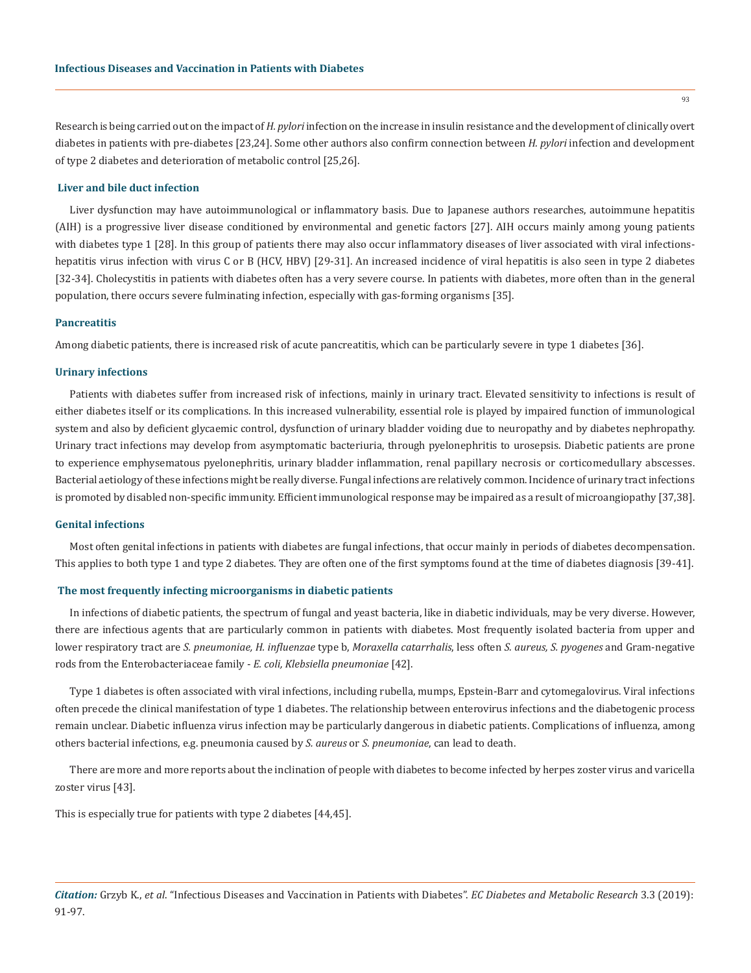Research is being carried out on the impact of *H. pylori* infection on the increase in insulin resistance and the development of clinically overt diabetes in patients with pre-diabetes [23,24]. Some other authors also confirm connection between *H. pylori* infection and development of type 2 diabetes and deterioration of metabolic control [25,26].

## **Liver and bile duct infection**

Liver dysfunction may have autoimmunological or inflammatory basis. Due to Japanese authors researches, autoimmune hepatitis (AIH) is a progressive liver disease conditioned by environmental and genetic factors [27]. AIH occurs mainly among young patients with diabetes type 1 [28]. In this group of patients there may also occur inflammatory diseases of liver associated with viral infectionshepatitis virus infection with virus C or B (HCV, HBV) [29-31]. An increased incidence of viral hepatitis is also seen in type 2 diabetes [32-34]. Cholecystitis in patients with diabetes often has a very severe course. In patients with diabetes, more often than in the general population, there occurs severe fulminating infection, especially with gas-forming organisms [35].

## **Pancreatitis**

Among diabetic patients, there is increased risk of acute pancreatitis, which can be particularly severe in type 1 diabetes [36].

#### **Urinary infections**

Patients with diabetes suffer from increased risk of infections, mainly in urinary tract. Elevated sensitivity to infections is result of either diabetes itself or its complications. In this increased vulnerability, essential role is played by impaired function of immunological system and also by deficient glycaemic control, dysfunction of urinary bladder voiding due to neuropathy and by diabetes nephropathy. Urinary tract infections may develop from asymptomatic bacteriuria, through pyelonephritis to urosepsis. Diabetic patients are prone to experience emphysematous pyelonephritis, urinary bladder inflammation, renal papillary necrosis or corticomedullary abscesses. Bacterial aetiology of these infections might be really diverse. Fungal infections are relatively common. Incidence of urinary tract infections is promoted by disabled non-specific immunity. Efficient immunological response may be impaired as a result of microangiopathy [37,38].

#### **Genital infections**

Most often genital infections in patients with diabetes are fungal infections, that occur mainly in periods of diabetes decompensation. This applies to both type 1 and type 2 diabetes. They are often one of the first symptoms found at the time of diabetes diagnosis [39-41].

## **The most frequently infecting microorganisms in diabetic patients**

In infections of diabetic patients, the spectrum of fungal and yeast bacteria, like in diabetic individuals, may be very diverse. However, there are infectious agents that are particularly common in patients with diabetes. Most frequently isolated bacteria from upper and lower respiratory tract are *S. pneumoniae, H. influenzae* type b, *Moraxella catarrhalis*, less often *S. aureus, S. pyogenes* and Gram-negative rods from the Enterobacteriaceae family - *E. coli, Klebsiella pneumoniae* [42].

Type 1 diabetes is often associated with viral infections, including rubella, mumps, Epstein-Barr and cytomegalovirus. Viral infections often precede the clinical manifestation of type 1 diabetes. The relationship between enterovirus infections and the diabetogenic process remain unclear. Diabetic influenza virus infection may be particularly dangerous in diabetic patients. Complications of influenza, among others bacterial infections, e.g. pneumonia caused by *S. aureus* or *S. pneumoniae*, can lead to death.

There are more and more reports about the inclination of people with diabetes to become infected by herpes zoster virus and varicella zoster virus [43].

This is especially true for patients with type 2 diabetes [44,45].

*Citation:* Grzyb K., *et al*. "Infectious Diseases and Vaccination in Patients with Diabetes". *EC Diabetes and Metabolic Research* 3.3 (2019): 91-97.

93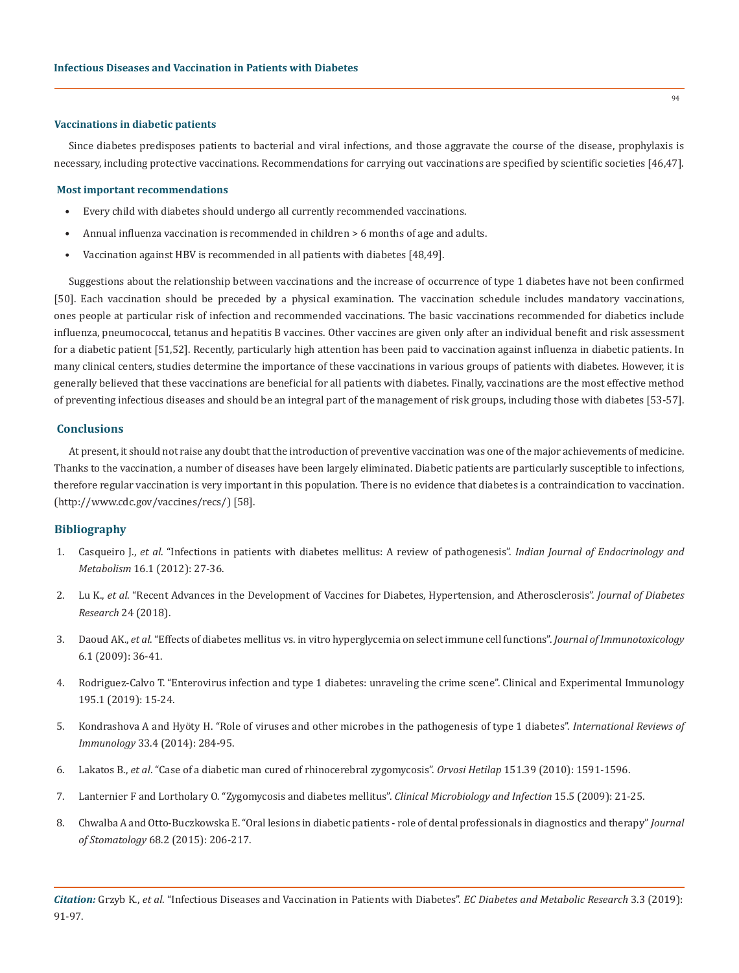### **Vaccinations in diabetic patients**

Since diabetes predisposes patients to bacterial and viral infections, and those aggravate the course of the disease, prophylaxis is necessary, including protective vaccinations. Recommendations for carrying out vaccinations are specified by scientific societies [46,47].

## **Most important recommendations**

- Every child with diabetes should undergo all currently recommended vaccinations.
- Annual influenza vaccination is recommended in children > 6 months of age and adults.
- Vaccination against HBV is recommended in all patients with diabetes [48,49].

Suggestions about the relationship between vaccinations and the increase of occurrence of type 1 diabetes have not been confirmed [50]. Each vaccination should be preceded by a physical examination. The vaccination schedule includes mandatory vaccinations, ones people at particular risk of infection and recommended vaccinations. The basic vaccinations recommended for diabetics include influenza, pneumococcal, tetanus and hepatitis B vaccines. Other vaccines are given only after an individual benefit and risk assessment for a diabetic patient [51,52]. Recently, particularly high attention has been paid to vaccination against influenza in diabetic patients. In many clinical centers, studies determine the importance of these vaccinations in various groups of patients with diabetes. However, it is generally believed that these vaccinations are beneficial for all patients with diabetes. Finally, vaccinations are the most effective method of preventing infectious diseases and should be an integral part of the management of risk groups, including those with diabetes [53-57].

# **Conclusions**

At present, it should not raise any doubt that the introduction of preventive vaccination was one of the major achievements of medicine. Thanks to the vaccination, a number of diseases have been largely eliminated. Diabetic patients are particularly susceptible to infections, therefore regular vaccination is very important in this population. There is no evidence that diabetes is a contraindication to vaccination. [\(http://www.cdc.gov/vaccines/recs/\)](http://www.cdc.gov/vaccines/recs/) [58].

# **Bibliography**

- 1. Casqueiro J., *et al*[. "Infections in patients with diabetes mellitus: A review of pathogenesis".](https://www.ncbi.nlm.nih.gov/pubmed/22701840) *Indian Journal of Endocrinology and Metabolism* [16.1 \(2012\): 27-36.](https://www.ncbi.nlm.nih.gov/pubmed/22701840)
- 2. Lu K., *et al*[. "Recent Advances in the Development of Vaccines for Diabetes, Hypertension, and Atherosclerosis".](https://www.hindawi.com/journals/jdr/2018/1638462/) *Journal of Diabetes [Research](https://www.hindawi.com/journals/jdr/2018/1638462/)* 24 (2018).
- 3. Daoud AK., *et al*[. "Effects of diabetes mellitus vs. in vitro hyperglycemia on select immune cell functions".](https://www.ncbi.nlm.nih.gov/pubmed/19519161) *Journal of Immunotoxicology* [6.1 \(2009\): 36-41.](https://www.ncbi.nlm.nih.gov/pubmed/19519161)
- 4. [Rodriguez-Calvo T. "Enterovirus infection and type 1 diabetes: unraveling the crime scene". Clinical and Experimental Immunology](https://www.ncbi.nlm.nih.gov/pubmed/30307605)  [195.1 \(2019\): 15-24.](https://www.ncbi.nlm.nih.gov/pubmed/30307605)
- 5. [Kondrashova A and Hyöty H. "Role of viruses and other microbes in the pathogenesis of type 1 diabetes".](https://www.ncbi.nlm.nih.gov/pubmed/24611784) *International Reviews of Immunology* [33.4 \(2014\): 284-95.](https://www.ncbi.nlm.nih.gov/pubmed/24611784)
- 6. Lakatos B., *et al*[. "Case of a diabetic man cured of rhinocerebral zygomycosis".](https://www.ncbi.nlm.nih.gov/pubmed/20840916) *Orvosi Hetilap* 151.39 (2010): 1591-1596.
- 7. [Lanternier F and Lortholary O. "Zygomycosis and diabetes mellitus".](https://www.sciencedirect.com/science/article/pii/S1198743X14607230) *Clinical Microbiology and Infection* 15.5 (2009): 21-25.
- 8. [Chwalba A and Otto-Buczkowska E. "Oral lesions in diabetic patients role of dental professionals in diagnostics and therapy"](https://www.termedia.pl/Oral-lesions-in-diabetic-patients-role-of-dental-professionals-in-diagnostics-and-therapy,137,34742,0,1.html) *Journal of Stomatology* [68.2 \(2015\): 206-217.](https://www.termedia.pl/Oral-lesions-in-diabetic-patients-role-of-dental-professionals-in-diagnostics-and-therapy,137,34742,0,1.html)

*Citation:* Grzyb K., *et al*. "Infectious Diseases and Vaccination in Patients with Diabetes". *EC Diabetes and Metabolic Research* 3.3 (2019): 91-97.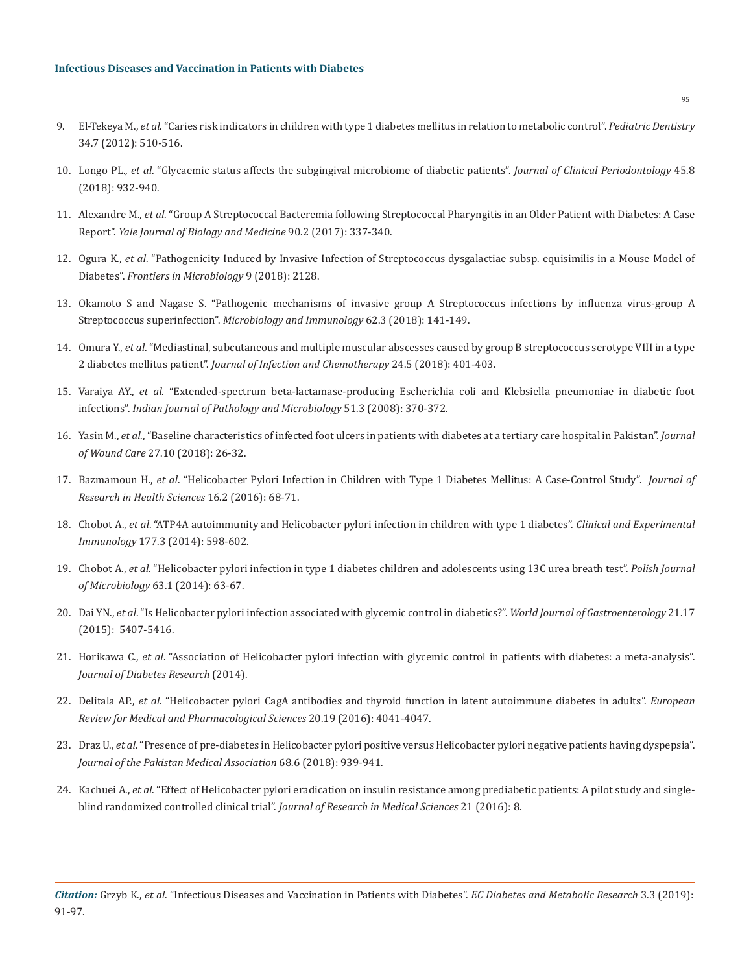- 9. El-Tekeya M., *et al*[. "Caries risk indicators in children with type 1 diabetes mellitus in relation to metabolic control".](https://www.ncbi.nlm.nih.gov/pubmed/23265173) *Pediatric Dentistry*  [34.7 \(2012\): 510-516.](https://www.ncbi.nlm.nih.gov/pubmed/23265173)
- 10. Longo PL., *et al*[. "Glycaemic status affects the subgingival microbiome of diabetic patients".](https://www.ncbi.nlm.nih.gov/pubmed/29742293) *Journal of Clinical Periodontology* 45.8 [\(2018\): 932-940.](https://www.ncbi.nlm.nih.gov/pubmed/29742293)
- 11. Alexandre M., *et al*[. "Group A Streptococcal Bacteremia following Streptococcal Pharyngitis in an Older Patient with Diabetes: A Case](https://www.ncbi.nlm.nih.gov/pubmed/28656020)  Report". *[Yale Journal of Biology and Medicine](https://www.ncbi.nlm.nih.gov/pubmed/28656020)* 90.2 (2017): 337-340.
- 12. Ogura K., *et al*[. "Pathogenicity Induced by Invasive Infection of Streptococcus dysgalactiae subsp. equisimilis in a Mouse Model of](https://www.ncbi.nlm.nih.gov/pubmed/30298057)  Diabetes". *[Frontiers in Microbiology](https://www.ncbi.nlm.nih.gov/pubmed/30298057)* 9 (2018): 2128.
- 13. [Okamoto S and Nagase S. "Pathogenic mechanisms of invasive group A Streptococcus infections by influenza virus-group A](https://www.ncbi.nlm.nih.gov/pubmed/29377225)  Streptococcus superinfection". *[Microbiology and Immunology](https://www.ncbi.nlm.nih.gov/pubmed/29377225)* 62.3 (2018): 141-149.
- 14. Omura Y., *et al*[. "Mediastinal, subcutaneous and multiple muscular abscesses caused by group B streptococcus serotype VIII in a type](https://www.ncbi.nlm.nih.gov/pubmed/29373267)  2 diabetes mellitus patient". *[Journal of Infection and Chemotherapy](https://www.ncbi.nlm.nih.gov/pubmed/29373267)* 24.5 (2018): 401-403.
- 15. Varaiya AY., *et al*[. "Extended-spectrum beta-lactamase-producing Escherichia coli and Klebsiella pneumoniae in diabetic foot](https://www.ncbi.nlm.nih.gov/pubmed/18723960)  infections". *[Indian Journal of Pathology and Microbiology](https://www.ncbi.nlm.nih.gov/pubmed/18723960)* 51.3 (2008): 370-372.
- 16. Yasin M., *et al*[., "Baseline characteristics of infected foot ulcers in patients with diabetes at a tertiary care hospital in Pakistan".](https://www.ncbi.nlm.nih.gov/pubmed/30307815) *Journal of Wound Care* [27.10 \(2018\): 26-32.](https://www.ncbi.nlm.nih.gov/pubmed/30307815)
- 17. Bazmamoun H., *et al*[. "Helicobacter Pylori Infection in Children with Type 1 Diabetes Mellitus: A Case-Control Study".](https://www.ncbi.nlm.nih.gov/pubmed/27497772) *Journal of [Research in Health Sciences](https://www.ncbi.nlm.nih.gov/pubmed/27497772)* 16.2 (2016): 68-71.
- 18. Chobot A., *et al*[. "ATP4A autoimmunity and Helicobacter pylori infection in children with type 1 diabetes".](https://www.ncbi.nlm.nih.gov/pubmed/24773566) *Clinical and Experimental Immunology* [177.3 \(2014\): 598-602.](https://www.ncbi.nlm.nih.gov/pubmed/24773566)
- 19. Chobot A., *et al*[. "Helicobacter pylori infection in type 1 diabetes children and adolescents using 13C urea breath test".](https://www.ncbi.nlm.nih.gov/pubmed/25033664) *Polish Journal [of Microbiology](https://www.ncbi.nlm.nih.gov/pubmed/25033664)* 63.1 (2014): 63-67.
- 20. Dai YN., *et al*[. "Is Helicobacter pylori infection associated with glycemic control in diabetics?".](https://www.ncbi.nlm.nih.gov/pubmed/25954115) *World Journal of Gastroenterology* 21.17 [\(2015\): 5407-5416.](https://www.ncbi.nlm.nih.gov/pubmed/25954115)
- 21. Horikawa C., *et al*[. "Association of Helicobacter pylori infection with glycemic control in patients with diabetes: a meta-analysis".](https://www.ncbi.nlm.nih.gov/pubmed/24901007)  *[Journal of Diabetes Research](https://www.ncbi.nlm.nih.gov/pubmed/24901007)* (2014).
- 22. Delitala AP., *et al*[. "Helicobacter pylori CagA antibodies and thyroid function in latent autoimmune diabetes in adults".](https://www.ncbi.nlm.nih.gov/pubmed/27775795) *European [Review for Medical and Pharmacological Sciences](https://www.ncbi.nlm.nih.gov/pubmed/27775795)* 20.19 (2016): 4041-4047.
- 23. Draz U., *et al*[. "Presence of pre-diabetes in Helicobacter pylori positive versus Helicobacter pylori negative patients having dyspepsia".](https://www.ncbi.nlm.nih.gov/pubmed/30323363)  *[Journal of the Pakistan Medical Association](https://www.ncbi.nlm.nih.gov/pubmed/30323363)* 68.6 (2018): 939-941.
- 24. Kachuei A., *et al*[. "Effect of Helicobacter pylori eradication on insulin resistance among prediabetic patients: A pilot study and single](https://www.ncbi.nlm.nih.gov/pubmed/27904554)blind randomized controlled clinical trial". *[Journal of Research in Medical Sciences](https://www.ncbi.nlm.nih.gov/pubmed/27904554)* 21 (2016): 8.

95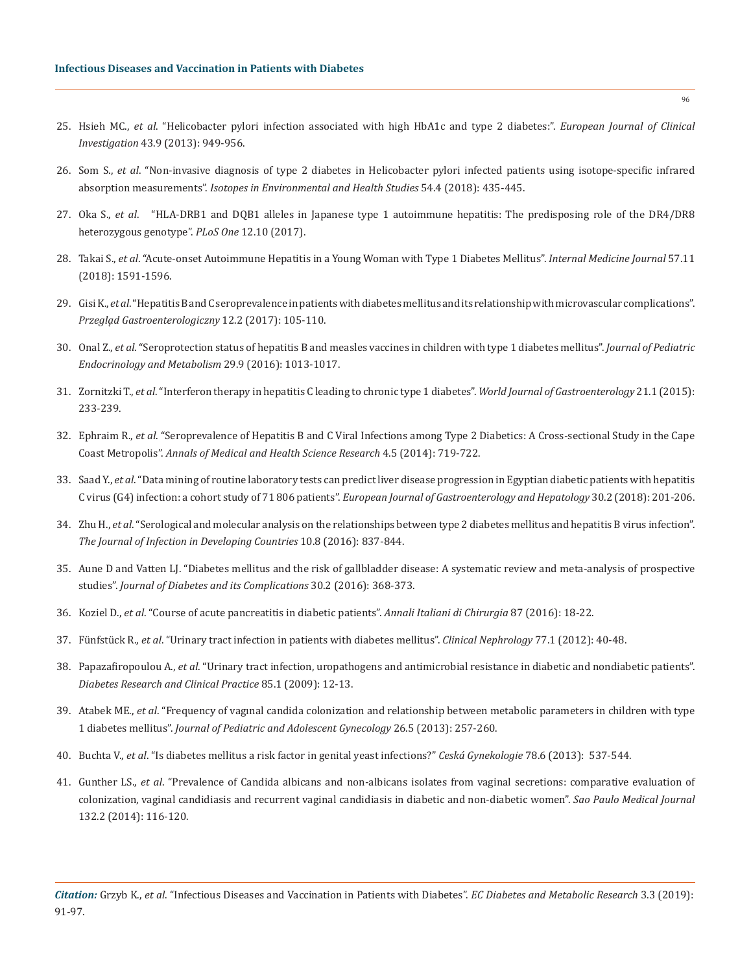- 25. Hsieh MC., *et al*[. "Helicobacter pylori infection associated with high HbA1c and type 2 diabetes:".](https://www.ncbi.nlm.nih.gov/pubmed/23879740) *European Journal of Clinical Investigation* [43.9 \(2013\): 949-956.](https://www.ncbi.nlm.nih.gov/pubmed/23879740)
- 26. Som S., *et al*[. "Non-invasive diagnosis of type 2 diabetes in Helicobacter pylori infected patients using isotope-specific infrared](https://www.tandfonline.com/doi/abs/10.1080/10256016.2018.1467414)  absorption measurements". *[Isotopes in Environmental and Health Studies](https://www.tandfonline.com/doi/abs/10.1080/10256016.2018.1467414)* 54.4 (2018): 435-445.
- 27. Oka S., *et al*[. "HLA-DRB1 and DQB1 alleles in Japanese type 1 autoimmune hepatitis: The predisposing role of the DR4/DR8](https://www.ncbi.nlm.nih.gov/pubmed/29088299)  [heterozygous genotype".](https://www.ncbi.nlm.nih.gov/pubmed/29088299) *PLoS One* 12.10 (2017).
- 28. Takai S., *et al*[. "Acute-onset Autoimmune Hepatitis in a Young Woman with Type 1 Diabetes Mellitus".](https://www.ncbi.nlm.nih.gov/pmc/articles/PMC6028672/) *Internal Medicine Journal* 57.11 [\(2018\): 1591-1596.](https://www.ncbi.nlm.nih.gov/pmc/articles/PMC6028672/)
- 29. Gisi K., *et al*[. "Hepatitis B and C seroprevalence in patients with diabetes mellitus and its relationship with microvascular complications".](https://www.ncbi.nlm.nih.gov/pmc/articles/PMC5497127/)  *[Przegla̜d Gastroenterologiczny](https://www.ncbi.nlm.nih.gov/pmc/articles/PMC5497127/)* 12.2 (2017): 105-110.
- 30. Onal Z., *et al*[. "Seroprotection status of hepatitis B and measles vaccines in children with type 1 diabetes mellitus".](https://www.ncbi.nlm.nih.gov/pubmed/27658137) *Journal of Pediatric [Endocrinology and Metabolism](https://www.ncbi.nlm.nih.gov/pubmed/27658137)* 29.9 (2016): 1013-1017.
- 31. Zornitzki T., *et al*[. "Interferon therapy in hepatitis C leading to chronic type 1 diabetes".](https://www.ncbi.nlm.nih.gov/pmc/articles/PMC4284340/) *World Journal of Gastroenterology* 21.1 (2015): [233-239.](https://www.ncbi.nlm.nih.gov/pmc/articles/PMC4284340/)
- 32. Ephraim R., *et al*[. "Seroprevalence of Hepatitis B and C Viral Infections among Type 2 Diabetics: A Cross-sectional Study in the Cape](https://www.ncbi.nlm.nih.gov/pubmed/25328781)  Coast Metropolis". *[Annals of Medical and Health Science Research](https://www.ncbi.nlm.nih.gov/pubmed/25328781)* 4.5 (2014): 719-722.
- 33. Saad Y., *et al*[. "Data mining of routine laboratory tests can predict liver disease progression in Egyptian diabetic patients with hepatitis](https://www.ncbi.nlm.nih.gov/pubmed/29099423)  C virus (G4) infection: a cohort study of 71 806 patients". *[European Journal of Gastroenterology and Hepatology](https://www.ncbi.nlm.nih.gov/pubmed/29099423)* 30.2 (2018): 201-206.
- 34. Zhu H., *et al*[. "Serological and molecular analysis on the relationships between type 2 diabetes mellitus and hepatitis B virus infection".](https://www.ncbi.nlm.nih.gov/pubmed/27580329)  *[The Journal of Infection in Developing Countries](https://www.ncbi.nlm.nih.gov/pubmed/27580329)* 10.8 (2016): 837-844.
- 35. [Aune D and Vatten LJ. "Diabetes mellitus and the risk of gallbladder disease: A systematic review and meta-analysis of prospective](https://www.ncbi.nlm.nih.gov/pubmed/26684168)  studies". *[Journal of Diabetes and its Complications](https://www.ncbi.nlm.nih.gov/pubmed/26684168)* 30.2 (2016): 368-373.
- 36. Koziel D., *et al*[. "Course of acute pancreatitis in diabetic patients".](https://www.ncbi.nlm.nih.gov/pubmed/27026393) *Annali Italiani di Chirurgia* 87 (2016): 18-22.
- 37. Fünfstück R., *et al*[. "Urinary tract infection in patients with diabetes mellitus".](https://www.ncbi.nlm.nih.gov/pubmed/22185967) *Clinical Nephrology* 77.1 (2012): 40-48.
- 38. Papazafiropoulou A., *et al*[. "Urinary tract infection, uropathogens and antimicrobial resistance in diabetic and nondiabetic patients".](https://www.ncbi.nlm.nih.gov/pubmed/19481285)  *[Diabetes Research and Clinical Practice](https://www.ncbi.nlm.nih.gov/pubmed/19481285)* 85.1 (2009): 12-13.
- 39. Atabek ME., *et al*[. "Frequency of vagınal candida colonization and relationship between metabolic parameters in children with type](https://www.ncbi.nlm.nih.gov/pubmed/24012126)  1 diabetes mellitus". *[Journal of Pediatric and Adolescent Gynecology](https://www.ncbi.nlm.nih.gov/pubmed/24012126)* 26.5 (2013): 257-260.
- 40. Buchta V., *et al*[. "Is diabetes mellitus a risk factor in genital yeast infections?"](https://www.ncbi.nlm.nih.gov/pubmed/24372432) *Ceská Gynekologie* 78.6 (2013): 537-544.
- 41. Gunther LS., *et al*[. "Prevalence of Candida albicans and non-albicans isolates from vaginal secretions: comparative evaluation of](https://www.ncbi.nlm.nih.gov/pubmed/24714993)  [colonization, vaginal candidiasis and recurrent vaginal candidiasis in diabetic and non-diabetic women".](https://www.ncbi.nlm.nih.gov/pubmed/24714993) *Sao Paulo Medical Journal*  [132.2 \(2014\): 116-120.](https://www.ncbi.nlm.nih.gov/pubmed/24714993)